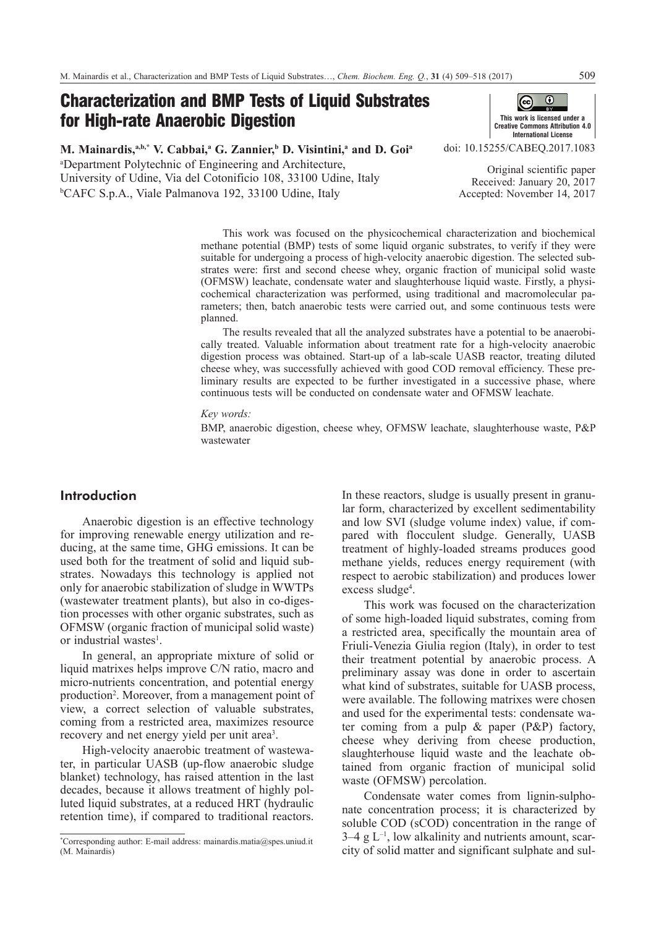# Characterization and BMP Tests of Liquid Substrates for High-rate Anaerobic Digestion



**M. Mainardis, a,b,\* V. Cabbai, a G. Zannier, b D. Visintini, a and D. Goia** a Department Polytechnic of Engineering and Architecture, University of Udine, Via del Cotonificio 108, 33100 Udine, Italy b CAFC S.p.A., Viale Palmanova 192, 33100 Udine, Italy

doi: [10.15255/CABEQ.2017.1083](https://doi.org/10.15255/CABEQ.2017.1083)

Original scientific paper Received: January 20, 2017 Accepted: November 14, 2017

This work was focused on the physicochemical characterization and biochemical methane potential (BMP) tests of some liquid organic substrates, to verify if they were suitable for undergoing a process of high-velocity anaerobic digestion. The selected substrates were: first and second cheese whey, organic fraction of municipal solid waste (OFMSW) leachate, condensate water and slaughterhouse liquid waste. Firstly, a physicochemical characterization was performed, using traditional and macromolecular parameters; then, batch anaerobic tests were carried out, and some continuous tests were planned.

The results revealed that all the analyzed substrates have a potential to be anaerobically treated. Valuable information about treatment rate for a high-velocity anaerobic digestion process was obtained. Start-up of a lab-scale UASB reactor, treating diluted cheese whey, was successfully achieved with good COD removal efficiency. These preliminary results are expected to be further investigated in a successive phase, where continuous tests will be conducted on condensate water and OFMSW leachate.

*Key words:* 

BMP, anaerobic digestion, cheese whey, OFMSW leachate, slaughterhouse waste, P&P wastewater

# Introduction

Anaerobic digestion is an effective technology for improving renewable energy utilization and reducing, at the same time, GHG emissions. It can be used both for the treatment of solid and liquid substrates. Nowadays this technology is applied not only for anaerobic stabilization of sludge in WWTPs (wastewater treatment plants), but also in co-digestion processes with other organic substrates, such as OFMSW (organic fraction of municipal solid waste) or industrial wastes<sup>1</sup>.

In general, an appropriate mixture of solid or liquid matrixes helps improve C/N ratio, macro and micro-nutrients concentration, and potential energy production<sup>2</sup>. Moreover, from a management point of view, a correct selection of valuable substrates, coming from a restricted area, maximizes resource recovery and net energy yield per unit area<sup>3</sup>.

High-velocity anaerobic treatment of wastewater, in particular UASB (up-flow anaerobic sludge blanket) technology, has raised attention in the last decades, because it allows treatment of highly polluted liquid substrates, at a reduced HRT (hydraulic retention time), if compared to traditional reactors.

In these reactors, sludge is usually present in granular form, characterized by excellent sedimentability and low SVI (sludge volume index) value, if compared with flocculent sludge. Generally, UASB treatment of highly-loaded streams produces good methane yields, reduces energy requirement (with respect to aerobic stabilization) and produces lower excess sludge<sup>4</sup>.

This work was focused on the characterization of some high-loaded liquid substrates, coming from a restricted area, specifically the mountain area of Friuli-Venezia Giulia region (Italy), in order to test their treatment potential by anaerobic process. A preliminary assay was done in order to ascertain what kind of substrates, suitable for UASB process, were available. The following matrixes were chosen and used for the experimental tests: condensate water coming from a pulp & paper (P&P) factory, cheese whey deriving from cheese production, slaughterhouse liquid waste and the leachate obtained from organic fraction of municipal solid waste (OFMSW) percolation.

Condensate water comes from lignin-sulphonate concentration process; it is characterized by soluble COD (sCOD) concentration in the range of  $3-4$  g  $L^{-1}$ , low alkalinity and nutrients amount, scarcity of solid matter and significant sulphate and sul-

<sup>\*</sup> Corresponding author: E-mail address: [mainardis.matia@spes.uniud.it](mailto:mainardis.matia@spes.uniud.it)  (M. Mainardis)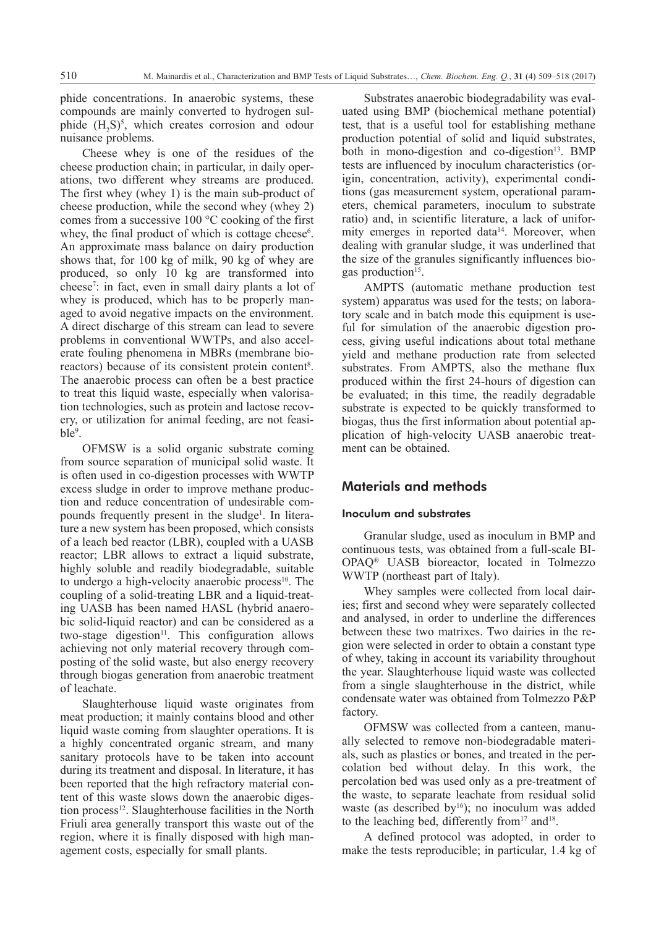phide concentrations. In anaerobic systems, these compounds are mainly converted to hydrogen sulphide  $(H_2S)^5$ , which creates corrosion and odour nuisance problems.

Cheese whey is one of the residues of the cheese production chain; in particular, in daily operations, two different whey streams are produced. The first whey (whey 1) is the main sub-product of cheese production, while the second whey (whey 2) comes from a successive 100 °C cooking of the first whey, the final product of which is cottage cheese<sup>6</sup>. An approximate mass balance on dairy production shows that, for 100 kg of milk, 90 kg of whey are produced, so only 10 kg are transformed into cheese7 : in fact, even in small dairy plants a lot of whey is produced, which has to be properly managed to avoid negative impacts on the environment. A direct discharge of this stream can lead to severe problems in conventional WWTPs, and also accelerate fouling phenomena in MBRs (membrane bioreactors) because of its consistent protein content<sup>8</sup>. The anaerobic process can often be a best practice to treat this liquid waste, especially when valorisation technologies, such as protein and lactose recovery, or utilization for animal feeding, are not feasible<sup>9</sup>.

OFMSW is a solid organic substrate coming from source separation of municipal solid waste. It is often used in co-digestion processes with WWTP excess sludge in order to improve methane production and reduce concentration of undesirable compounds frequently present in the sludge<sup>1</sup>. In literature a new system has been proposed, which consists of a leach bed reactor (LBR), coupled with a UASB reactor; LBR allows to extract a liquid substrate, highly soluble and readily biodegradable, suitable to undergo a high-velocity anaerobic process $10$ . The coupling of a solid-treating LBR and a liquid-treating UASB has been named HASL (hybrid anaerobic solid-liquid reactor) and can be considered as a two-stage digestion $11$ . This configuration allows achieving not only material recovery through composting of the solid waste, but also energy recovery through biogas generation from anaerobic treatment of leachate.

Slaughterhouse liquid waste originates from meat production; it mainly contains blood and other liquid waste coming from slaughter operations. It is a highly concentrated organic stream, and many sanitary protocols have to be taken into account during its treatment and disposal. In literature, it has been reported that the high refractory material content of this waste slows down the anaerobic digestion process<sup>12</sup>. Slaughterhouse facilities in the North Friuli area generally transport this waste out of the region, where it is finally disposed with high management costs, especially for small plants.

Substrates anaerobic biodegradability was evaluated using BMP (biochemical methane potential) test, that is a useful tool for establishing methane production potential of solid and liquid substrates, both in mono-digestion and co-digestion $13$ . BMP tests are influenced by inoculum characteristics (origin, concentration, activity), experimental conditions (gas measurement system, operational parameters, chemical parameters, inoculum to substrate ratio) and, in scientific literature, a lack of uniformity emerges in reported data<sup>14</sup>. Moreover, when dealing with granular sludge, it was underlined that the size of the granules significantly influences biogas production<sup>15</sup>.

AMPTS (automatic methane production test system) apparatus was used for the tests; on laboratory scale and in batch mode this equipment is useful for simulation of the anaerobic digestion process, giving useful indications about total methane yield and methane production rate from selected substrates. From AMPTS, also the methane flux produced within the first 24-hours of digestion can be evaluated; in this time, the readily degradable substrate is expected to be quickly transformed to biogas, thus the first information about potential application of high-velocity UASB anaerobic treatment can be obtained.

# Materials and methods

## Inoculum and substrates

Granular sludge, used as inoculum in BMP and continuous tests, was obtained from a full-scale BI-OPAQ® UASB bioreactor, located in Tolmezzo WWTP (northeast part of Italy).

Whey samples were collected from local dairies; first and second whey were separately collected and analysed, in order to underline the differences between these two matrixes. Two dairies in the region were selected in order to obtain a constant type of whey, taking in account its variability throughout the year. Slaughterhouse liquid waste was collected from a single slaughterhouse in the district, while condensate water was obtained from Tolmezzo P&P factory.

OFMSW was collected from a canteen, manually selected to remove non-biodegradable materials, such as plastics or bones, and treated in the percolation bed without delay. In this work, the percolation bed was used only as a pre-treatment of the waste, to separate leachate from residual solid waste (as described by $16$ ); no inoculum was added to the leaching bed, differently from  $17$  and  $18$ .

A defined protocol was adopted, in order to make the tests reproducible; in particular, 1.4 kg of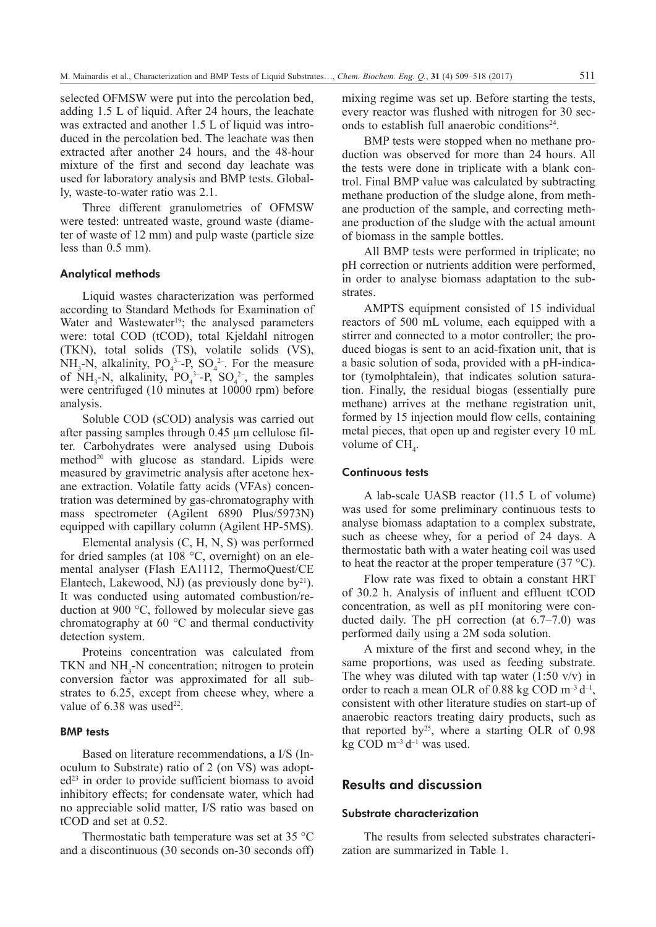selected OFMSW were put into the percolation bed, adding 1.5 L of liquid. After 24 hours, the leachate was extracted and another 1.5 L of liquid was introduced in the percolation bed. The leachate was then extracted after another 24 hours, and the 48-hour mixture of the first and second day leachate was used for laboratory analysis and BMP tests. Globally, waste-to-water ratio was 2.1.

Three different granulometries of OFMSW were tested: untreated waste, ground waste (diameter of waste of 12 mm) and pulp waste (particle size less than 0.5 mm).

#### Analytical methods

Liquid wastes characterization was performed according to Standard Methods for Examination of Water and Wastewater<sup>19</sup>; the analysed parameters were: total COD (tCOD), total Kjeldahl nitrogen (TKN), total solids (TS), volatile solids (VS), NH<sub>3</sub>-N, alkalinity,  $PO_4^{3-}P$ ,  $SO_4^{2-}$ . For the measure of  $NH_3-N$ , alkalinity,  $PO_4^{3-}P$ ,  $SO_4^{2-}$ , the samples were centrifuged (10 minutes at 10000 rpm) before analysis.

Soluble COD (sCOD) analysis was carried out after passing samples through 0.45 µm cellulose filter. Carbohydrates were analysed using Dubois method<sup>20</sup> with glucose as standard. Lipids were measured by gravimetric analysis after acetone hexane extraction. Volatile fatty acids (VFAs) concentration was determined by gas-chromatography with mass spectrometer (Agilent 6890 Plus/5973N) equipped with capillary column (Agilent HP-5MS).

Elemental analysis (C, H, N, S) was performed for dried samples (at 108 °C, overnight) on an elemental analyser (Flash EA1112, ThermoQuest/CE Elantech, Lakewood, NJ) (as previously done by $^{21}$ ). It was conducted using automated combustion/reduction at 900 °C, followed by molecular sieve gas chromatography at 60 °C and thermal conductivity detection system.

Proteins concentration was calculated from TKN and  $NH<sub>3</sub>$ -N concentration; nitrogen to protein conversion factor was approximated for all substrates to 6.25, except from cheese whey, where a value of  $6.38$  was used<sup>22</sup>.

# BMP tests

Based on literature recommendations, a I/S (Inoculum to Substrate) ratio of 2 (on VS) was adopt $ed<sup>23</sup>$  in order to provide sufficient biomass to avoid inhibitory effects; for condensate water, which had no appreciable solid matter, I/S ratio was based on tCOD and set at 0.52.

Thermostatic bath temperature was set at 35 °C and a discontinuous (30 seconds on-30 seconds off) mixing regime was set up. Before starting the tests, every reactor was flushed with nitrogen for 30 seconds to establish full anaerobic conditions $24$ .

BMP tests were stopped when no methane production was observed for more than 24 hours. All the tests were done in triplicate with a blank control. Final BMP value was calculated by subtracting methane production of the sludge alone, from methane production of the sample, and correcting methane production of the sludge with the actual amount of biomass in the sample bottles.

All BMP tests were performed in triplicate; no pH correction or nutrients addition were performed, in order to analyse biomass adaptation to the substrates.

AMPTS equipment consisted of 15 individual reactors of 500 mL volume, each equipped with a stirrer and connected to a motor controller; the produced biogas is sent to an acid-fixation unit, that is a basic solution of soda, provided with a pH-indicator (tymolphtalein), that indicates solution saturation. Finally, the residual biogas (essentially pure methane) arrives at the methane registration unit, formed by 15 injection mould flow cells, containing metal pieces, that open up and register every 10 mL volume of  $CH<sub>4</sub>$ .

#### Continuous tests

A lab-scale UASB reactor (11.5 L of volume) was used for some preliminary continuous tests to analyse biomass adaptation to a complex substrate, such as cheese whey, for a period of 24 days. A thermostatic bath with a water heating coil was used to heat the reactor at the proper temperature  $(37 \degree C)$ .

Flow rate was fixed to obtain a constant HRT of 30.2 h. Analysis of influent and effluent tCOD concentration, as well as pH monitoring were conducted daily. The pH correction (at 6.7–7.0) was performed daily using a 2M soda solution.

A mixture of the first and second whey, in the same proportions, was used as feeding substrate. The whey was diluted with tap water  $(1:50 \text{ v/v})$  in order to reach a mean OLR of 0.88 kg COD  $m^{-3} d^{-1}$ , consistent with other literature studies on start-up of anaerobic reactors treating dairy products, such as that reported by<sup>25</sup>, where a starting OLR of  $0.98$ kg COD  $m^{-3} d^{-1}$  was used.

# Results and discussion

### Substrate characterization

The results from selected substrates characterization are summarized in Table 1.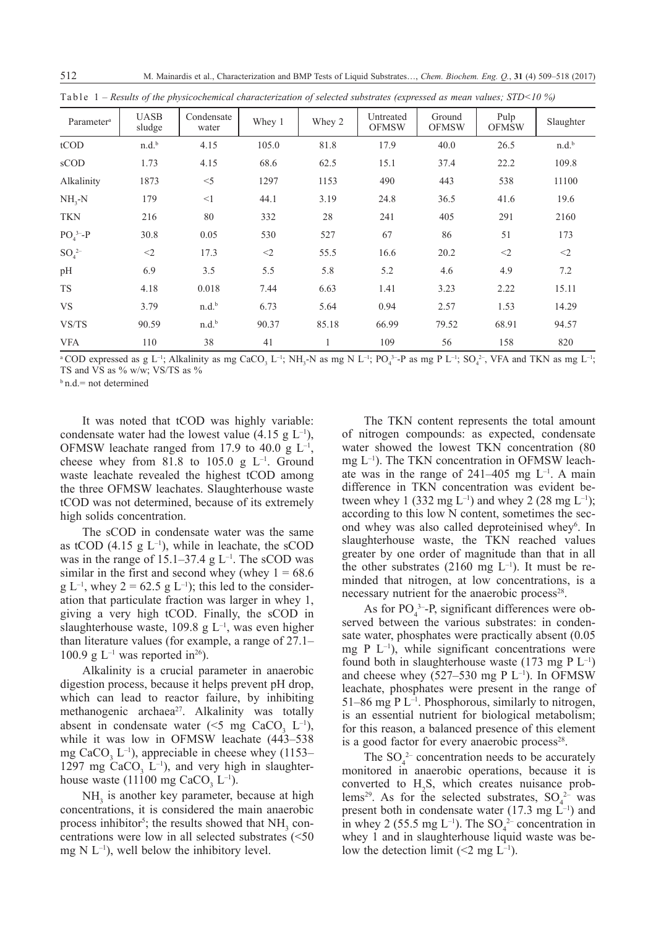| Parameter <sup>a</sup> | <b>UASB</b><br>sludge | Condensate<br>water | Whey 1   | Whey 2 | Untreated<br><b>OFMSW</b> | Ground<br><b>OFMSW</b> | Pulp<br><b>OFMSW</b> | Slaughter         |
|------------------------|-----------------------|---------------------|----------|--------|---------------------------|------------------------|----------------------|-------------------|
| tCOD                   | n.d.b                 | 4.15                | 105.0    | 81.8   | 17.9                      | 40.0                   | 26.5                 | n.d. <sup>b</sup> |
| sCOD                   | 1.73                  | 4.15                | 68.6     | 62.5   | 15.1                      | 37.4                   | 22.2                 | 109.8             |
| Alkalinity             | 1873                  | $<$ 5               | 1297     | 1153   | 490                       | 443                    | 538                  | 11100             |
| $NH_{3}-N$             | 179                   | $\leq$ 1            | 44.1     | 3.19   | 24.8                      | 36.5                   | 41.6                 | 19.6              |
| <b>TKN</b>             | 216                   | 80                  | 332      | 28     | 241                       | 405                    | 291                  | 2160              |
| $PO43–-P$              | 30.8                  | 0.05                | 530      | 527    | 67                        | 86                     | 51                   | 173               |
| $SO_4^2$               | $\leq$ 2              | 17.3                | $\leq$ 2 | 55.5   | 16.6                      | 20.2                   | $\leq$ 2             | $<$ 2             |
| pH                     | 6.9                   | 3.5                 | 5.5      | 5.8    | 5.2                       | 4.6                    | 4.9                  | 7.2               |
| TS                     | 4.18                  | 0.018               | 7.44     | 6.63   | 1.41                      | 3.23                   | 2.22                 | 15.11             |
| <b>VS</b>              | 3.79                  | $n.d.^{b}$          | 6.73     | 5.64   | 0.94                      | 2.57                   | 1.53                 | 14.29             |
| VS/TS                  | 90.59                 | $n.d.^{b}$          | 90.37    | 85.18  | 66.99                     | 79.52                  | 68.91                | 94.57             |
| <b>VFA</b>             | 110                   | 38                  | 41       |        | 109                       | 56                     | 158                  | 820               |

Table 1 *– Results of the physicochemical characterization of selected substrates (expressed as mean values; STD<10 %)*

<sup>a</sup> COD expressed as g L<sup>-1</sup>; Alkalinity as mg CaCO<sub>3</sub> L<sup>-1</sup>; NH<sub>3</sub>-N as mg N L<sup>-1</sup>; PO<sub>4</sub><sup>3</sup>-P as mg P L<sup>-1</sup>; SO<sub>4</sub><sup>2</sup>, VFA and TKN as mg L<sup>-1</sup>; TS and VS as % w/w; VS/TS as %

 $b$  n.d.= not determined

It was noted that tCOD was highly variable: condensate water had the lowest value (4.15 g  $L^{-1}$ ), OFMSW leachate ranged from 17.9 to 40.0 g  $L^{-1}$ , cheese whey from 81.8 to 105.0 g  $L^{-1}$ . Ground waste leachate revealed the highest tCOD among the three OFMSW leachates. Slaughterhouse waste tCOD was not determined, because of its extremely high solids concentration.

The sCOD in condensate water was the same as tCOD (4.15 g  $L^{-1}$ ), while in leachate, the sCOD was in the range of  $15.1-37.4$  g  $L^{-1}$ . The sCOD was similar in the first and second whey (whey  $1 = 68.6$ )  $g L^{-1}$ , whey  $2 = 62.5 g L^{-1}$ ; this led to the consideration that particulate fraction was larger in whey 1, giving a very high tCOD. Finally, the sCOD in slaughterhouse waste, 109.8 g  $L^{-1}$ , was even higher than literature values (for example, a range of 27.1– 100.9 g  $L^{-1}$  was reported in<sup>26</sup>).

Alkalinity is a crucial parameter in anaerobic digestion process, because it helps prevent pH drop, which can lead to reactor failure, by inhibiting methanogenic archaea<sup>27</sup>. Alkalinity was totally absent in condensate water (<5 mg CaCO<sub>3</sub> L<sup>-1</sup>), while it was low in OFMSW leachate (443–538 mg CaCO<sub>3</sub> L<sup>-1</sup>), appreciable in cheese whey (1153– 1297 mg  $CaCO<sub>3</sub>$  L<sup>-1</sup>), and very high in slaughterhouse waste (11100 mg CaCO<sub>3</sub> L<sup>-1</sup>).

 $NH<sub>3</sub>$  is another key parameter, because at high concentrations, it is considered the main anaerobic process inhibitor<sup>5</sup>; the results showed that  $NH<sub>3</sub>$  concentrations were low in all selected substrates (<50 mg  $N L^{-1}$ ), well below the inhibitory level.

The TKN content represents the total amount of nitrogen compounds: as expected, condensate water showed the lowest TKN concentration (80 mg L–1). The TKN concentration in OFMSW leachate was in the range of  $241-405$  mg  $L^{-1}$ . A main difference in TKN concentration was evident between whey 1 (332 mg L<sup>-1</sup>) and whey 2 (28 mg L<sup>-1</sup>); according to this low N content, sometimes the second whey was also called deproteinised whey<sup>6</sup>. In slaughterhouse waste, the TKN reached values greater by one order of magnitude than that in all the other substrates  $(2160 \text{ mg } L^{-1})$ . It must be reminded that nitrogen, at low concentrations, is a necessary nutrient for the anaerobic process<sup>28</sup>.

As for  $PO_4^3$ -P, significant differences were observed between the various substrates: in condensate water, phosphates were practically absent (0.05 mg P  $L^{-1}$ ), while significant concentrations were found both in slaughterhouse waste (173 mg P  $L^{-1}$ ) and cheese whey  $(527-530 \text{ mg } P \text{ L}^{-1})$ . In OFMSW leachate, phosphates were present in the range of 51–86 mg P  $L^{-1}$ . Phosphorous, similarly to nitrogen, is an essential nutrient for biological metabolism; for this reason, a balanced presence of this element is a good factor for every anaerobic process $28$ .

The  $SO_4^2$  concentration needs to be accurately monitored in anaerobic operations, because it is converted to  $H_2S$ , which creates nuisance problems<sup>29</sup>. As for the selected substrates,  $SO_4^{2-}$  was present both in condensate water  $(17.3 \text{ mg } L^{-1})$  and in whey 2 (55.5 mg  $L^{-1}$ ). The SO<sub>4</sub><sup>2</sup> concentration in whey 1 and in slaughterhouse liquid waste was below the detection limit ( $\leq 2$  mg L<sup>-1</sup>).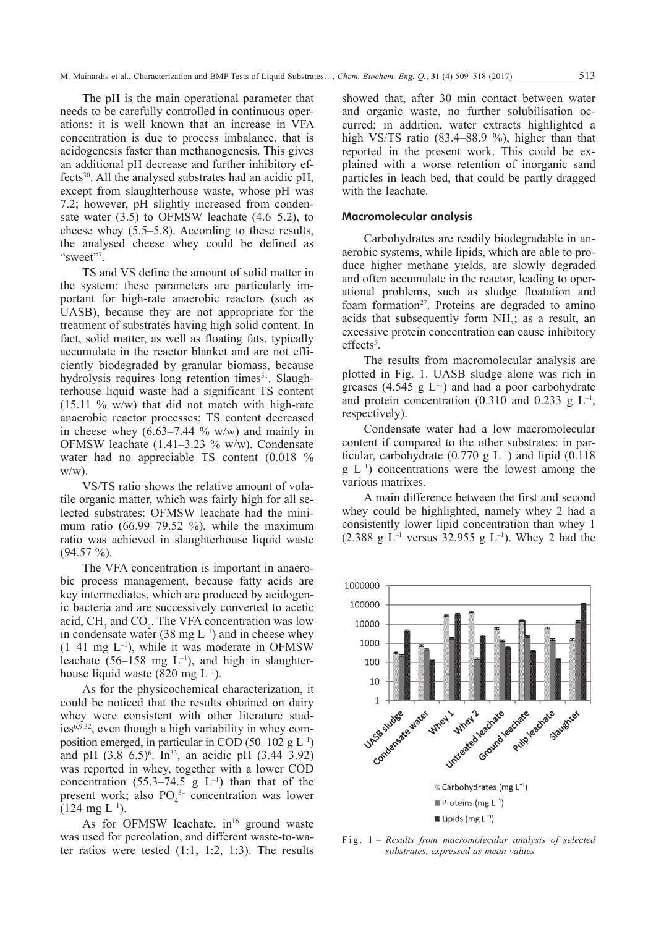The pH is the main operational parameter that needs to be carefully controlled in continuous operations: it is well known that an increase in VFA concentration is due to process imbalance, that is acidogenesis faster than methanogenesis. This gives an additional pH decrease and further inhibitory effects<sup>30</sup>. All the analysed substrates had an acidic  $pH$ , except from slaughterhouse waste, whose pH was 7.2; however, pH slightly increased from condensate water (3.5) to OFMSW leachate (4.6–5.2), to cheese whey (5.5–5.8). According to these results, the analysed cheese whey could be defined as "sweet"<sup>7</sup>.

TS and VS define the amount of solid matter in the system: these parameters are particularly important for high-rate anaerobic reactors (such as UASB), because they are not appropriate for the treatment of substrates having high solid content. In fact, solid matter, as well as floating fats, typically accumulate in the reactor blanket and are not efficiently biodegraded by granular biomass, because hydrolysis requires long retention times<sup>31</sup>. Slaughterhouse liquid waste had a significant TS content  $(15.11 \degree/6 \degree W/w)$  that did not match with high-rate anaerobic reactor processes; TS content decreased in cheese whey  $(6.63-7.44 \text{ % } w/w)$  and mainly in OFMSW leachate (1.41–3.23 % w/w). Condensate water had no appreciable TS content (0.018 %  $w/w$ ).

VS/TS ratio shows the relative amount of volatile organic matter, which was fairly high for all selected substrates: OFMSW leachate had the minimum ratio (66.99–79.52 %), while the maximum ratio was achieved in slaughterhouse liquid waste  $(94.57 \%)$ .

The VFA concentration is important in anaerobic process management, because fatty acids are key intermediates, which are produced by acidogenic bacteria and are successively converted to acetic acid,  $CH_4$  and  $CO_2$ . The VFA concentration was low in condensate water (38 mg  $L^{-1}$ ) and in cheese whey  $(1-41 \text{ mg } L^{-1})$ , while it was moderate in OFMSW leachate  $(56-158 \text{ mg } L^{-1})$ , and high in slaughterhouse liquid waste (820 mg  $L^{-1}$ ).

As for the physicochemical characterization, it could be noticed that the results obtained on dairy whey were consistent with other literature studies $6,9,32$ , even though a high variability in whey composition emerged, in particular in COD (50–102 g  $L^{-1}$ ) and pH  $(3.8-6.5)^6$ . In<sup>33</sup>, an acidic pH  $(3.44-3.92)$ was reported in whey, together with a lower COD concentration (55.3–74.5 g  $L^{-1}$ ) than that of the present work; also  $PO_4^{3-}$  concentration was lower  $(124 \text{ mg } L^{-1})$ .

As for OFMSW leachate,  $in^{16}$  ground waste was used for percolation, and different waste-to-water ratios were tested  $(1:1, 1:2, 1:3)$ . The results showed that, after 30 min contact between water and organic waste, no further solubilisation occurred; in addition, water extracts highlighted a high VS/TS ratio (83.4–88.9 %), higher than that reported in the present work. This could be explained with a worse retention of inorganic sand particles in leach bed, that could be partly dragged with the leachate.

#### Macromolecular analysis

Carbohydrates are readily biodegradable in anaerobic systems, while lipids, which are able to produce higher methane yields, are slowly degraded and often accumulate in the reactor, leading to operational problems, such as sludge floatation and foam formation<sup>27</sup>. Proteins are degraded to amino acids that subsequently form  $NH<sub>3</sub>$ ; as a result, an excessive protein concentration can cause inhibitory effects<sup>5</sup>.

The results from macromolecular analysis are plotted in Fig. 1. UASB sludge alone was rich in greases  $(4.545 \text{ g L}^{-1})$  and had a poor carbohydrate and protein concentration (0.310 and 0.233 g  $L^{-1}$ , respectively).

Condensate water had a low macromolecular content if compared to the other substrates: in particular, carbohydrate  $(0.770 \text{ g L}^{-1})$  and lipid  $(0.118$  $g<sup>-1</sup>$  concentrations were the lowest among the various matrixes.

A main difference between the first and second whey could be highlighted, namely whey 2 had a consistently lower lipid concentration than whey 1 (2.388 g  $L^{-1}$  versus 32.955 g  $L^{-1}$ ). Whey 2 had the



Fig. 1 *– Results from macromolecular analysis of selected substrates, expressed as mean values*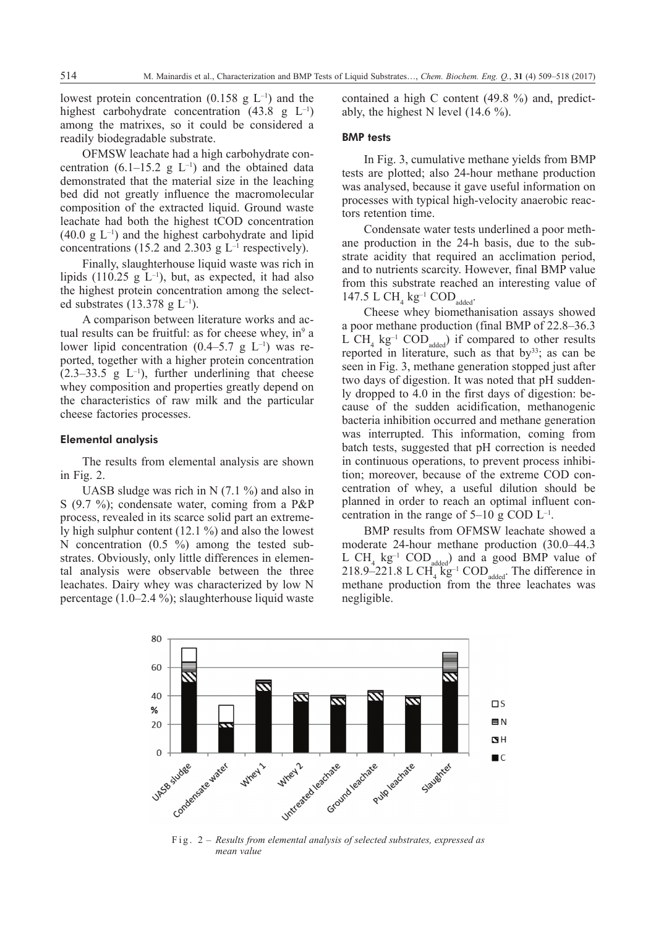lowest protein concentration  $(0.158 \text{ g L}^{-1})$  and the highest carbohydrate concentration  $(43.8 \text{ g L}^{-1})$ among the matrixes, so it could be considered a readily biodegradable substrate.

OFMSW leachate had a high carbohydrate concentration  $(6.1-15.2 \text{ g L}^{-1})$  and the obtained data demonstrated that the material size in the leaching bed did not greatly influence the macromolecular composition of the extracted liquid. Ground waste leachate had both the highest tCOD concentration  $(40.0 \text{ g L}^{-1})$  and the highest carbohydrate and lipid concentrations (15.2 and 2.303 g  $L^{-1}$  respectively).

Finally, slaughterhouse liquid waste was rich in lipids (110.25 g  $L^{-1}$ ), but, as expected, it had also the highest protein concentration among the selected substrates (13.378 g  $L^{-1}$ ).

A comparison between literature works and actual results can be fruitful: as for cheese whey, in $9a$ lower lipid concentration  $(0.4-5.7 \text{ g L}^{-1})$  was reported, together with a higher protein concentration  $(2.3-33.5 \text{ g } L^{-1})$ , further underlining that cheese whey composition and properties greatly depend on the characteristics of raw milk and the particular cheese factories processes.

## Elemental analysis

The results from elemental analysis are shown in Fig. 2.

UASB sludge was rich in N  $(7.1\%)$  and also in S (9.7 %); condensate water, coming from a P&P process, revealed in its scarce solid part an extremely high sulphur content (12.1 %) and also the lowest N concentration (0.5 %) among the tested substrates. Obviously, only little differences in elemental analysis were observable between the three leachates. Dairy whey was characterized by low N percentage (1.0–2.4 %); slaughterhouse liquid waste contained a high C content (49.8 %) and, predictably, the highest N level (14.6 %).

## BMP tests

In Fig. 3, cumulative methane yields from BMP tests are plotted; also 24-hour methane production was analysed, because it gave useful information on processes with typical high-velocity anaerobic reactors retention time.

Condensate water tests underlined a poor methane production in the 24-h basis, due to the substrate acidity that required an acclimation period, and to nutrients scarcity. However, final BMP value from this substrate reached an interesting value of 147.5 L CH<sub>4</sub>  $kg^{-1}$  COD<sub>added</sub>.

Cheese whey biomethanisation assays showed a poor methane production (final BMP of 22.8–36.3 L CH<sub>4</sub>  $kg^{-1}$  COD<sub>added</sub>) if compared to other results reported in literature, such as that  $by<sup>33</sup>$ ; as can be seen in Fig. 3, methane generation stopped just after two days of digestion. It was noted that pH suddenly dropped to 4.0 in the first days of digestion: because of the sudden acidification, methanogenic bacteria inhibition occurred and methane generation was interrupted. This information, coming from batch tests, suggested that pH correction is needed in continuous operations, to prevent process inhibition; moreover, because of the extreme COD concentration of whey, a useful dilution should be planned in order to reach an optimal influent concentration in the range of  $5-10$  g COD  $L^{-1}$ .

BMP results from OFMSW leachate showed a moderate 24-hour methane production (30.0–44.3 L  $CH_4$   $kg^{-1}$   $COD$ <sub>added</sub>) and a good BMP value of  $218.9 - 221.8$  L CH<sub>4</sub>  $\text{kg}^{-1}$  COD<sub>added</sub>. The difference in methane production from the three leachates was negligible.



Fig. 2 *– Results from elemental analysis of selected substrates, expressed as mean value*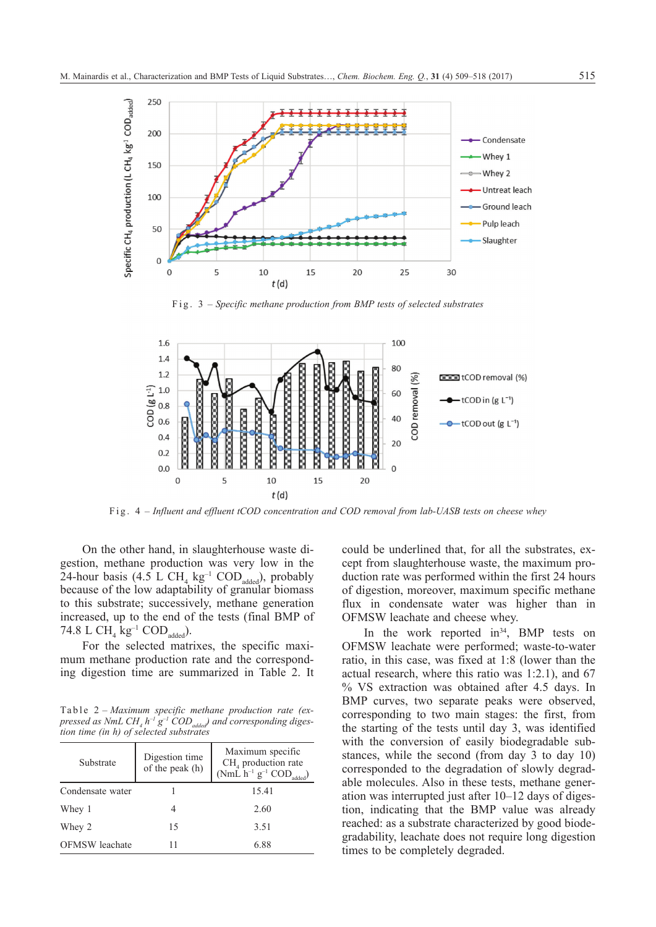

Fig. 3 *– Specific methane production from BMP tests of selected substrates*



Fig. 4 *– Influent and effluent tCOD concentration and COD removal from lab-UASB tests on cheese whey*

On the other hand, in slaughterhouse waste digestion, methane production was very low in the 24-hour basis (4.5 L CH<sub>4</sub>  $kg^{-1}$  COD<sub>added</sub>), probably because of the low adaptability of granular biomass to this substrate; successively, methane generation increased, up to the end of the tests (final BMP of 74.8 L  $\text{CH}_4$  kg<sup>-1</sup> COD<sub>added</sub>).

For the selected matrixes, the specific maximum methane production rate and the corresponding digestion time are summarized in Table 2. It

Table 2 *– Maximum specific methane production rate (ex*pressed as NmL CH<sub>4</sub> h<sup>-1</sup> g<sup>-1</sup> COD<sub>added</sub>) and corresponding diges*tion time (in h) of selected substrates*

| Substrate             | Digestion time<br>of the peak (h) | Maximum specific<br>$CH4$ production rate<br>(NmL $h^{-1}$ $g^{-1}$ COD <sub>added</sub> ) |  |  |
|-----------------------|-----------------------------------|--------------------------------------------------------------------------------------------|--|--|
| Condensate water      |                                   | 15.41                                                                                      |  |  |
| Whey 1                |                                   | 2.60                                                                                       |  |  |
| Whey 2                | 15                                | 3.51                                                                                       |  |  |
| <b>OFMSW</b> leachate |                                   | 6.88                                                                                       |  |  |

could be underlined that, for all the substrates, except from slaughterhouse waste, the maximum production rate was performed within the first 24 hours of digestion, moreover, maximum specific methane flux in condensate water was higher than in OFMSW leachate and cheese whey.

In the work reported  $in<sup>34</sup>$ , BMP tests on OFMSW leachate were performed; waste-to-water ratio, in this case, was fixed at 1:8 (lower than the actual research, where this ratio was 1:2.1), and 67 % VS extraction was obtained after 4.5 days. In BMP curves, two separate peaks were observed, corresponding to two main stages: the first, from the starting of the tests until day 3, was identified with the conversion of easily biodegradable substances, while the second (from day 3 to day 10) corresponded to the degradation of slowly degradable molecules. Also in these tests, methane generation was interrupted just after 10–12 days of digestion, indicating that the BMP value was already reached: as a substrate characterized by good biodegradability, leachate does not require long digestion times to be completely degraded.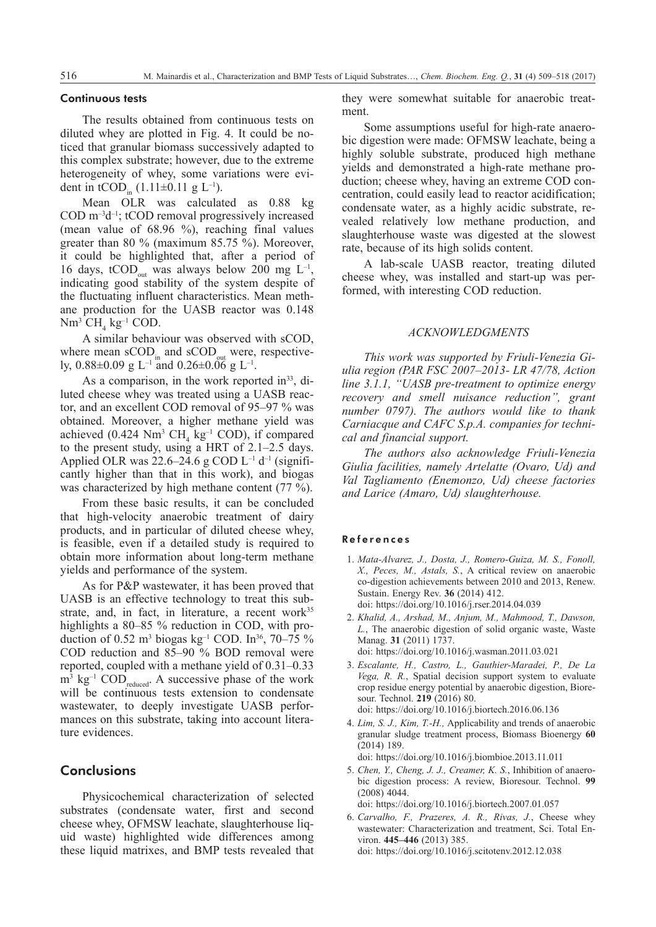#### Continuous tests

The results obtained from continuous tests on diluted whey are plotted in Fig. 4. It could be noticed that granular biomass successively adapted to this complex substrate; however, due to the extreme heterogeneity of whey, some variations were evident in tCOD.  $(1.11\pm0.11 \text{ g L}^{-1})$ .

Mean OLR was calculated as 0.88 kg  $\text{COD} \text{ m}^{-3} \text{d}^{-1}$ ; tCOD removal progressively increased (mean value of 68.96 %), reaching final values greater than 80 % (maximum 85.75 %). Moreover, it could be highlighted that, after a period of 16 days, tCOD<sub>out</sub> was always below 200 mg  $L^{-1}$ , indicating good stability of the system despite of the fluctuating influent characteristics. Mean methane production for the UASB reactor was 0.148  $Nm^3$  CH<sub>4</sub> kg<sup>-1</sup> COD.

A similar behaviour was observed with sCOD, where mean  $\text{SCOD}_{\text{in}}$  and  $\text{SCOD}_{\text{out}}$  were, respectively,  $0.88\pm0.09$  g L<sup>-1</sup> and  $0.26\pm0.06$  g L<sup>-1</sup>.

As a comparison, in the work reported in $33$ , diluted cheese whey was treated using a UASB reactor, and an excellent COD removal of 95–97 % was obtained. Moreover, a higher methane yield was achieved  $(0.424 \text{ Nm}^3 \text{ CH}_4 \text{ kg}^{-1} \text{ COD})$ , if compared to the present study, using a HRT of 2.1–2.5 days. Applied OLR was 22.6–24.6 g COD  $L^{-1}$  d<sup>-1</sup> (significantly higher than that in this work), and biogas was characterized by high methane content (77 %).

From these basic results, it can be concluded that high-velocity anaerobic treatment of dairy products, and in particular of diluted cheese whey, is feasible, even if a detailed study is required to obtain more information about long-term methane yields and performance of the system.

As for P&P wastewater, it has been proved that UASB is an effective technology to treat this substrate, and, in fact, in literature, a recent work<sup>35</sup> highlights a 80–85 % reduction in COD, with production of 0.52 m<sup>3</sup> biogas kg<sup>-1</sup> COD. In<sup>36</sup>, 70–75 % COD reduction and 85–90 % BOD removal were reported, coupled with a methane yield of 0.31–0.33  $m^3$  kg<sup>-1</sup> COD<sub>reduced</sub>. A successive phase of the work will be continuous tests extension to condensate wastewater, to deeply investigate UASB performances on this substrate, taking into account literature evidences.

# **Conclusions**

Physicochemical characterization of selected substrates (condensate water, first and second cheese whey, OFMSW leachate, slaughterhouse liquid waste) highlighted wide differences among these liquid matrixes, and BMP tests revealed that they were somewhat suitable for anaerobic treatment.

Some assumptions useful for high-rate anaerobic digestion were made: OFMSW leachate, being a highly soluble substrate, produced high methane yields and demonstrated a high-rate methane production; cheese whey, having an extreme COD concentration, could easily lead to reactor acidification; condensate water, as a highly acidic substrate, revealed relatively low methane production, and slaughterhouse waste was digested at the slowest rate, because of its high solids content.

A lab-scale UASB reactor, treating diluted cheese whey, was installed and start-up was performed, with interesting COD reduction.

#### *Acknowledgments*

*This work was supported by Friuli-Venezia Giulia region (PAR FSC 2007–2013- LR 47/78, Action line 3.1.1, "UASB pre-treatment to optimize energy recovery and smell nuisance reduction", grant number 0797). The authors would like to thank Carniacque and CAFC S.p.A. companies for technical and financial support.*

*The authors also acknowledge Friuli-Venezia Giulia facilities, namely Artelatte (Ovaro, Ud) and Val Tagliamento (Enemonzo, Ud) cheese factories and Larice (Amaro, Ud) slaughterhouse.*

#### References

- 1. *Mata-Alvarez, J., Dosta, J., Romero-Guiza, M. S., Fonoll, X., Peces, M., Astals, S.*, A critical review on anaerobic co-digestion achievements between 2010 and 2013, Renew. Sustain. Energy Rev. **36** (2014) 412. doi: https://doi.org/10.1016/j.rser.2014.04.039
- 2. *Khalid, A., Arshad, M., Anjum, M., Mahmood, T., Dawson, L.*, The anaerobic digestion of solid organic waste, Waste Manag. **31** (2011) 1737. doi: https://doi.org/10.1016/j.wasman.2011.03.021
- 3. *Escalante, H., Castro, L., Gauthier-Maradei, P., De La Vega, R. R.*, Spatial decision support system to evaluate crop residue energy potential by anaerobic digestion, Bioresour. Technol. **219** (2016) 80. doi: https://doi.org/10.1016/j.biortech.2016.06.136
- 4. *Lim, S. J., Kim, T.-H.,* Applicability and trends of anaerobic granular sludge treatment process, Biomass Bioenergy **60** (2014) 189.

doi: https://doi.org/10.1016/j.biombioe.2013.11.011

5. *Chen, Y., Cheng, J. J., Creamer, K. S.*, Inhibition of anaerobic digestion process: A review, Bioresour. Technol. **99** (2008) 4044.

doi: https://doi.org/10.1016/j.biortech.2007.01.057

6. *Carvalho, F., Prazeres, A. R., Rivas, J.*, Cheese whey wastewater: Characterization and treatment, Sci. Total Environ. **445–446** (2013) 385. doi: https://doi.org/10.1016/j.scitotenv.2012.12.038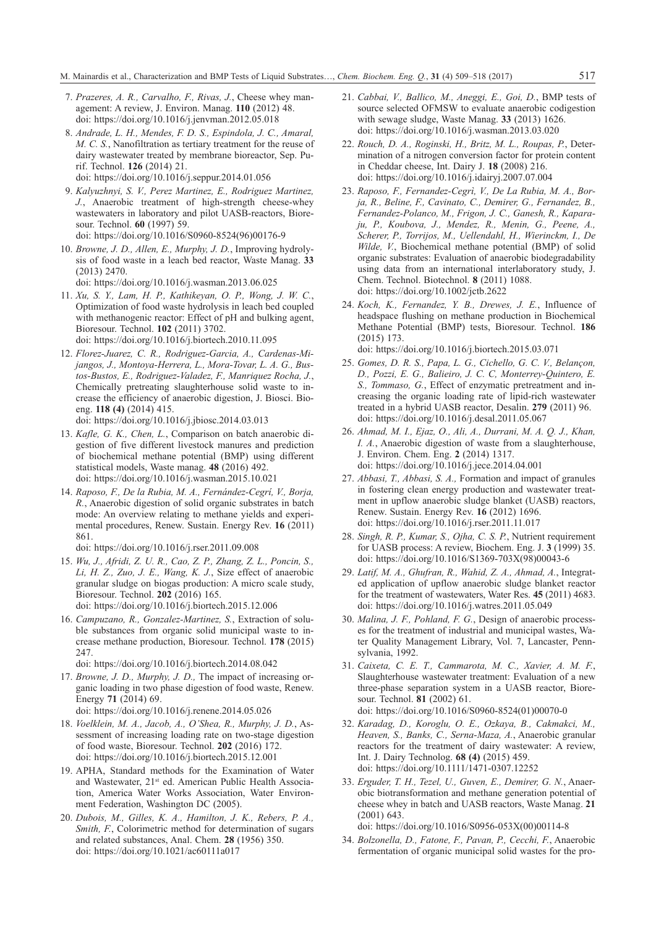- 7. *Prazeres, A. R., Carvalho, F., Rivas, J.*, Cheese whey management: A review, J. Environ. Manag. **110** (2012) 48. doi: https://doi.org/10.1016/j.jenvman.2012.05.018
- 8. *Andrade, L. H., Mendes, F. D. S., Espindola, J. C., Amaral, M. C. S.*, Nanofiltration as tertiary treatment for the reuse of dairy wastewater treated by membrane bioreactor, Sep. Purif. Technol. **126** (2014) 21. doi: https://doi.org/10.1016/j.seppur.2014.01.056
- 9. *Kalyuzhnyi, S. V., Perez Martinez, E., Rodriguez Martinez, J.*, Anaerobic treatment of high-strength cheese-whey wastewaters in laboratory and pilot UASB-reactors, Bioresour. Technol. **60** (1997) 59. doi: https://doi.org/10.1016/S0960-8524(96)00176-9
- 10. *Browne, J. D., Allen, E., Murphy, J. D.*, Improving hydrolysis of food waste in a leach bed reactor, Waste Manag. **33** (2013) 2470.

doi: https://doi.org/10.1016/j.wasman.2013.06.025

- 11. *Xu, S. Y., Lam, H. P., Kathikeyan, O. P., Wong, J. W. C.*, Optimization of food waste hydrolysis in leach bed coupled with methanogenic reactor: Effect of pH and bulking agent, Bioresour. Technol. **102** (2011) 3702. doi: https://doi.org/10.1016/j.biortech.2010.11.095
- 12. *Florez-Juarez, C. R., Rodriguez-Garcia, A., Cardenas-Mijangos, J., Montoya-Herrera, L., Mora-Tovar, L. A. G., Bustos-Bustos, E., Rodriguez-Valadez, F., Manriquez Rocha, J.*, Chemically pretreating slaughterhouse solid waste to increase the efficiency of anaerobic digestion, J. Biosci. Bioeng. **118 (4)** (2014) 415. doi: https://doi.org/10.1016/j.jbiosc.2014.03.013
- 13. *Kafle, G. K., Chen, L.*, Comparison on batch anaerobic digestion of five different livestock manures and prediction of biochemical methane potential (BMP) using different statistical models, Waste manag. **48** (2016) 492. doi: https://doi.org/10.1016/j.wasman.2015.10.021
- 14. *Raposo, F., De la Rubia, M. A., Fernández-Cegrí, V., Borja, R.*, Anaerobic digestion of solid organic substrates in batch mode: An overview relating to methane yields and experimental procedures, Renew. Sustain. Energy Rev. **16** (2011) 861.

doi: https://doi.org/10.1016/j.rser.2011.09.008

- 15. *Wu, J., Afridi, Z. U. R., Cao, Z. P., Zhang, Z. L., Poncin, S., Li, H. Z., Zuo, J. E., Wang, K. J.*, Size effect of anaerobic granular sludge on biogas production: A micro scale study, Bioresour. Technol. **202** (2016) 165. doi: https://doi.org/10.1016/j.biortech.2015.12.006
- 16. *Campuzano, R., Gonzalez-Martinez, S.*, Extraction of soluble substances from organic solid municipal waste to increase methane production, Bioresour. Technol. **178** (2015) 247.

doi: https://doi.org/10.1016/j.biortech.2014.08.042

- 17. *Browne, J. D., Murphy, J. D.,* The impact of increasing organic loading in two phase digestion of food waste, Renew. Energy **71** (2014) 69. doi: https://doi.org/10.1016/j.renene.2014.05.026
- 18. *Voelklein, M. A., Jacob, A., O'Shea, R., Murphy, J. D.*, Assessment of increasing loading rate on two-stage digestion of food waste, Bioresour. Technol. **202** (2016) 172. doi: https://doi.org/10.1016/j.biortech.2015.12.001
- 19. APHA, Standard methods for the Examination of Water and Wastewater, 21<sup>st</sup> ed. American Public Health Association, America Water Works Association, Water Environment Federation, Washington DC (2005).
- 20. *Dubois, M., Gilles, K. A., Hamilton, J. K., Rebers, P. A., Smith, F.*, Colorimetric method for determination of sugars and related substances, Anal. Chem. **28** (1956) 350. doi: https://doi.org/10.1021/ac60111a017
- 21. *Cabbai, V., Ballico, M., Aneggi, E., Goi, D.*, BMP tests of source selected OFMSW to evaluate anaerobic codigestion with sewage sludge, Waste Manag. **33** (2013) 1626. doi: https://doi.org/10.1016/j.wasman.2013.03.020
- 22. *Rouch, D. A., Roginski, H., Britz, M. L., Roupas, P.*, Determination of a nitrogen conversion factor for protein content in Cheddar cheese, Int. Dairy J. **18** (2008) 216. doi: https://doi.org/10.1016/j.idairyj.2007.07.004
- 23. *Raposo, F., Fernandez-Cegrì, V., De La Rubia, M. A., Borja, R., Beline, F., Cavinato, C., Demirer, G., Fernandez, B., Fernandez-Polanco, M., Frigon, J. C., Ganesh, R., Kaparaju, P., Koubova, J., Mendez, R., Menin, G., Peene, A., Scherer, P., Torrijos, M., Uellendahl, H., Wierinckm, I., De Wilde, V.*, Biochemical methane potential (BMP) of solid organic substrates: Evaluation of anaerobic biodegradability using data from an international interlaboratory study, J. Chem. Technol. Biotechnol. **8** (2011) 1088. doi: https://doi.org/10.1002/jctb.2622
- 24. *Koch, K., Fernandez, Y. B., Drewes, J. E.*, Influence of headspace flushing on methane production in Biochemical Methane Potential (BMP) tests, Bioresour. Technol. **186** (2015) 173. doi: https://doi.org/10.1016/j.biortech.2015.03.071
- 25. *Gomes, D. R. S., Papa, L. G., Cichello, G. C. V., Belançon, D., Pozzi, E. G., Balieiro, J. C. C, Monterrey-Quintero, E. S., Tommaso, G.*, Effect of enzymatic pretreatment and increasing the organic loading rate of lipid-rich wastewater treated in a hybrid UASB reactor, Desalin. **279** (2011) 96. doi: https://doi.org/10.1016/j.desal.2011.05.067
- 26. *Ahmad, M. I., Ejaz, O., Ali, A., Durrani, M. A. Q. J., Khan, I. A.*, Anaerobic digestion of waste from a slaughterhouse, J. Environ. Chem. Eng. **2** (2014) 1317. doi: https://doi.org/10.1016/j.jece.2014.04.001
- 27. *Abbasi, T., Abbasi, S. A.,* Formation and impact of granules in fostering clean energy production and wastewater treatment in upflow anaerobic sludge blanket (UASB) reactors, Renew. Sustain. Energy Rev. **16** (2012) 1696. doi: https://doi.org/10.1016/j.rser.2011.11.017
- 28. *Singh, R. P., Kumar, S., Ojha, C. S. P.*, Nutrient requirement for UASB process: A review, Biochem. Eng. J. **3** (1999) 35. doi: https://doi.org/10.1016/S1369-703X(98)00043-6
- 29. *Latif, M. A., Ghufran, R., Wahid, Z. A., Ahmad, A.*, Integrated application of upflow anaerobic sludge blanket reactor for the treatment of wastewaters, Water Res. **45** (2011) 4683. doi: https://doi.org/10.1016/j.watres.2011.05.049
- 30. *Malina, J. F., Pohland, F. G.*, Design of anaerobic processes for the treatment of industrial and municipal wastes, Water Quality Management Library, Vol. 7, Lancaster, Pennsylvania, 1992.
- 31. *Caixeta, C. E. T., Cammarota, M. C., Xavier, A. M. F.*, Slaughterhouse wastewater treatment: Evaluation of a new three-phase separation system in a UASB reactor, Bioresour. Technol. **81** (2002) 61. doi: https://doi.org/10.1016/S0960-8524(01)00070-0
- 32. *Karadag, D., Koroglu, O. E., Ozkaya, B., Cakmakci, M., Heaven, S., Banks, C., Serna-Maza, A.*, Anaerobic granular reactors for the treatment of dairy wastewater: A review, Int. J. Dairy Technolog. **68 (4)** (2015) 459. doi: https://doi.org/10.1111/1471-0307.12252
- 33. *Erguder, T. H., Tezel, U., Guven, E., Demirer, G. N.*, Anaerobic biotransformation and methane generation potential of cheese whey in batch and UASB reactors, Waste Manag. **21** (2001) 643. doi: https://doi.org/10.1016/S0956-053X(00)00114-8
- 34. *Bolzonella, D., Fatone, F., Pavan, P., Cecchi, F.*, Anaerobic fermentation of organic municipal solid wastes for the pro-